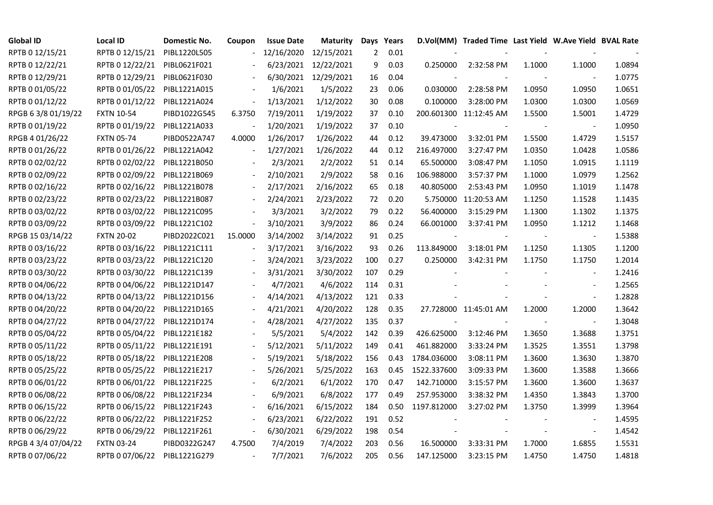| <b>Global ID</b>    | Local ID          | Domestic No. | Coupon                   | <b>Issue Date</b> | <b>Maturity</b>      |                | Days Years |                          | D.Vol(MM) Traded Time Last Yield W.Ave Yield BVAL Rate |        |                          |        |
|---------------------|-------------------|--------------|--------------------------|-------------------|----------------------|----------------|------------|--------------------------|--------------------------------------------------------|--------|--------------------------|--------|
| RPTB 0 12/15/21     | RPTB 0 12/15/21   | PIBL1220L505 |                          | 12/16/2020        | 12/15/2021           | $\overline{2}$ | 0.01       |                          |                                                        |        |                          |        |
| RPTB 0 12/22/21     | RPTB 0 12/22/21   | PIBL0621F021 |                          |                   | 6/23/2021 12/22/2021 | 9              | 0.03       | 0.250000                 | 2:32:58 PM                                             | 1.1000 | 1.1000                   | 1.0894 |
| RPTB 0 12/29/21     | RPTB 0 12/29/21   | PIBL0621F030 |                          |                   | 6/30/2021 12/29/2021 | 16             | 0.04       |                          |                                                        |        | $\overline{\phantom{a}}$ | 1.0775 |
| RPTB 0 01/05/22     | RPTB 0 01/05/22   | PIBL1221A015 |                          | 1/6/2021          | 1/5/2022             | 23             | 0.06       | 0.030000                 | 2:28:58 PM                                             | 1.0950 | 1.0950                   | 1.0651 |
| RPTB 0 01/12/22     | RPTB 0 01/12/22   | PIBL1221A024 | $\Box$                   | 1/13/2021         | 1/12/2022            | 30             | 0.08       | 0.100000                 | 3:28:00 PM                                             | 1.0300 | 1.0300                   | 1.0569 |
| RPGB 63/8 01/19/22  | <b>FXTN 10-54</b> | PIBD1022G545 | 6.3750                   | 7/19/2011         | 1/19/2022            | 37             | 0.10       |                          | 200.601300 11:12:45 AM                                 | 1.5500 | 1.5001                   | 1.4729 |
| RPTB 0 01/19/22     | RPTB 0 01/19/22   | PIBL1221A033 | $\overline{\phantom{a}}$ | 1/20/2021         | 1/19/2022            | 37             | 0.10       | $\overline{\phantom{a}}$ |                                                        | $\sim$ | $\blacksquare$           | 1.0950 |
| RPGB 4 01/26/22     | <b>FXTN 05-74</b> | PIBD0522A747 | 4.0000                   | 1/26/2017         | 1/26/2022            | 44             | 0.12       | 39.473000                | 3:32:01 PM                                             | 1.5500 | 1.4729                   | 1.5157 |
| RPTB 0 01/26/22     | RPTB 0 01/26/22   | PIBL1221A042 |                          | 1/27/2021         | 1/26/2022            | 44             | 0.12       | 216.497000               | 3:27:47 PM                                             | 1.0350 | 1.0428                   | 1.0586 |
| RPTB 0 02/02/22     | RPTB 0 02/02/22   | PIBL1221B050 |                          | 2/3/2021          | 2/2/2022             | 51             | 0.14       | 65.500000                | 3:08:47 PM                                             | 1.1050 | 1.0915                   | 1.1119 |
| RPTB 0 02/09/22     | RPTB 0 02/09/22   | PIBL1221B069 | $\blacksquare$           | 2/10/2021         | 2/9/2022             | 58             | 0.16       | 106.988000               | 3:57:37 PM                                             | 1.1000 | 1.0979                   | 1.2562 |
| RPTB 0 02/16/22     | RPTB 0 02/16/22   | PIBL1221B078 |                          | 2/17/2021         | 2/16/2022            | 65             | 0.18       | 40.805000                | 2:53:43 PM                                             | 1.0950 | 1.1019                   | 1.1478 |
| RPTB 0 02/23/22     | RPTB 0 02/23/22   | PIBL1221B087 |                          | 2/24/2021         | 2/23/2022            | 72             | 0.20       | 5.750000                 | 11:20:53 AM                                            | 1.1250 | 1.1528                   | 1.1435 |
| RPTB 0 03/02/22     | RPTB 0 03/02/22   | PIBL1221C095 |                          | 3/3/2021          | 3/2/2022             | 79             | 0.22       | 56.400000                | 3:15:29 PM                                             | 1.1300 | 1.1302                   | 1.1375 |
| RPTB 0 03/09/22     | RPTB 0 03/09/22   | PIBL1221C102 | $\overline{\phantom{a}}$ | 3/10/2021         | 3/9/2022             | 86             | 0.24       | 66.001000                | 3:37:41 PM                                             | 1.0950 | 1.1212                   | 1.1468 |
| RPGB 15 03/14/22    | <b>FXTN 20-02</b> | PIBD2022C021 | 15.0000                  | 3/14/2002         | 3/14/2022            | 91             | 0.25       |                          |                                                        |        |                          | 1.5388 |
| RPTB 0 03/16/22     | RPTB 0 03/16/22   | PIBL1221C111 | $\overline{\phantom{a}}$ | 3/17/2021         | 3/16/2022            | 93             | 0.26       | 113.849000               | 3:18:01 PM                                             | 1.1250 | 1.1305                   | 1.1200 |
| RPTB 0 03/23/22     | RPTB 0 03/23/22   | PIBL1221C120 |                          | 3/24/2021         | 3/23/2022            | 100            | 0.27       | 0.250000                 | 3:42:31 PM                                             | 1.1750 | 1.1750                   | 1.2014 |
| RPTB 0 03/30/22     | RPTB 0 03/30/22   | PIBL1221C139 |                          | 3/31/2021         | 3/30/2022            | 107            | 0.29       |                          |                                                        |        | $\blacksquare$           | 1.2416 |
| RPTB 0 04/06/22     | RPTB 0 04/06/22   | PIBL1221D147 |                          | 4/7/2021          | 4/6/2022             | 114            | 0.31       |                          |                                                        |        | $\overline{\phantom{a}}$ | 1.2565 |
| RPTB 0 04/13/22     | RPTB 0 04/13/22   | PIBL1221D156 |                          | 4/14/2021         | 4/13/2022            | 121            | 0.33       |                          |                                                        |        | $\blacksquare$           | 1.2828 |
| RPTB 0 04/20/22     | RPTB 0 04/20/22   | PIBL1221D165 |                          | 4/21/2021         | 4/20/2022            | 128            | 0.35       |                          | 27.728000 11:45:01 AM                                  | 1.2000 | 1.2000                   | 1.3642 |
| RPTB 0 04/27/22     | RPTB 0 04/27/22   | PIBL1221D174 |                          | 4/28/2021         | 4/27/2022            | 135            | 0.37       |                          |                                                        |        |                          | 1.3048 |
| RPTB 0 05/04/22     | RPTB 0 05/04/22   | PIBL1221E182 |                          | 5/5/2021          | 5/4/2022             | 142            | 0.39       | 426.625000               | 3:12:46 PM                                             | 1.3650 | 1.3688                   | 1.3751 |
| RPTB 0 05/11/22     | RPTB 0 05/11/22   | PIBL1221E191 |                          | 5/12/2021         | 5/11/2022            | 149            | 0.41       | 461.882000               | 3:33:24 PM                                             | 1.3525 | 1.3551                   | 1.3798 |
| RPTB 0 05/18/22     | RPTB 0 05/18/22   | PIBL1221E208 |                          | 5/19/2021         | 5/18/2022            | 156            | 0.43       | 1784.036000              | 3:08:11 PM                                             | 1.3600 | 1.3630                   | 1.3870 |
| RPTB 0 05/25/22     | RPTB 0 05/25/22   | PIBL1221E217 |                          | 5/26/2021         | 5/25/2022            | 163            | 0.45       | 1522.337600              | 3:09:33 PM                                             | 1.3600 | 1.3588                   | 1.3666 |
| RPTB 0 06/01/22     | RPTB 0 06/01/22   | PIBL1221F225 |                          | 6/2/2021          | 6/1/2022             | 170            | 0.47       | 142.710000               | 3:15:57 PM                                             | 1.3600 | 1.3600                   | 1.3637 |
| RPTB 0 06/08/22     | RPTB 0 06/08/22   | PIBL1221F234 |                          | 6/9/2021          | 6/8/2022             | 177            | 0.49       | 257.953000               | 3:38:32 PM                                             | 1.4350 | 1.3843                   | 1.3700 |
| RPTB 0 06/15/22     | RPTB 0 06/15/22   | PIBL1221F243 |                          | 6/16/2021         | 6/15/2022            | 184            | 0.50       | 1197.812000              | 3:27:02 PM                                             | 1.3750 | 1.3999                   | 1.3964 |
| RPTB 0 06/22/22     | RPTB 0 06/22/22   | PIBL1221F252 | $\overline{\phantom{a}}$ | 6/23/2021         | 6/22/2022            | 191            | 0.52       |                          |                                                        |        |                          | 1.4595 |
| RPTB 0 06/29/22     | RPTB 0 06/29/22   | PIBL1221F261 | $\overline{\phantom{a}}$ | 6/30/2021         | 6/29/2022            | 198            | 0.54       |                          |                                                        |        | $\blacksquare$           | 1.4542 |
| RPGB 4 3/4 07/04/22 | <b>FXTN 03-24</b> | PIBD0322G247 | 4.7500                   | 7/4/2019          | 7/4/2022             | 203            | 0.56       | 16.500000                | 3:33:31 PM                                             | 1.7000 | 1.6855                   | 1.5531 |
| RPTB 0 07/06/22     | RPTB 0 07/06/22   | PIBL1221G279 | $\blacksquare$           | 7/7/2021          | 7/6/2022             | 205            | 0.56       | 147.125000               | 3:23:15 PM                                             | 1.4750 | 1.4750                   | 1.4818 |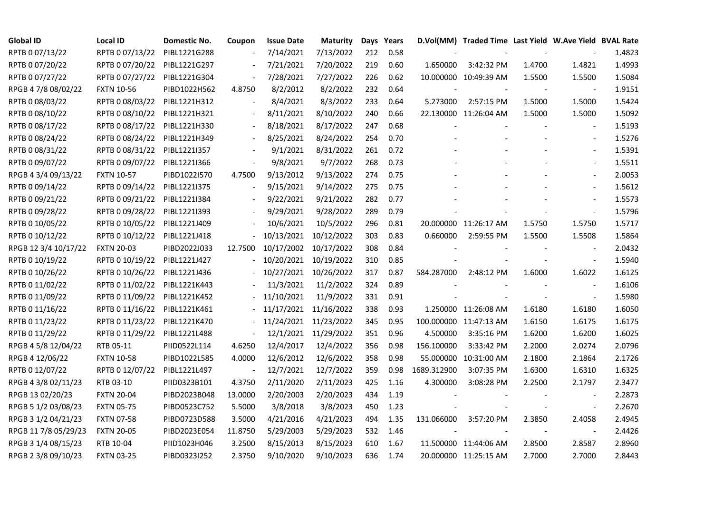| <b>Global ID</b>     | <b>Local ID</b>   | Domestic No. | Coupon                   | <b>Issue Date</b> | Maturity              |     | Days Years |             | D.Vol(MM) Traded Time Last Yield W.Ave Yield BVAL Rate |        |                          |        |
|----------------------|-------------------|--------------|--------------------------|-------------------|-----------------------|-----|------------|-------------|--------------------------------------------------------|--------|--------------------------|--------|
| RPTB 0 07/13/22      | RPTB 0 07/13/22   | PIBL1221G288 |                          | 7/14/2021         | 7/13/2022             | 212 | 0.58       |             |                                                        |        |                          | 1.4823 |
| RPTB 0 07/20/22      | RPTB 0 07/20/22   | PIBL1221G297 |                          | 7/21/2021         | 7/20/2022             | 219 | 0.60       | 1.650000    | 3:42:32 PM                                             | 1.4700 | 1.4821                   | 1.4993 |
| RPTB 0 07/27/22      | RPTB 0 07/27/22   | PIBL1221G304 | $\overline{\phantom{a}}$ | 7/28/2021         | 7/27/2022             | 226 | 0.62       |             | 10.000000 10:49:39 AM                                  | 1.5500 | 1.5500                   | 1.5084 |
| RPGB 4 7/8 08/02/22  | <b>FXTN 10-56</b> | PIBD1022H562 | 4.8750                   | 8/2/2012          | 8/2/2022              | 232 | 0.64       |             |                                                        |        |                          | 1.9151 |
| RPTB 0 08/03/22      | RPTB 0 08/03/22   | PIBL1221H312 | $\blacksquare$           | 8/4/2021          | 8/3/2022              | 233 | 0.64       | 5.273000    | 2:57:15 PM                                             | 1.5000 | 1.5000                   | 1.5424 |
| RPTB 0 08/10/22      | RPTB 0 08/10/22   | PIBL1221H321 | $\blacksquare$           | 8/11/2021         | 8/10/2022             | 240 | 0.66       |             | 22.130000 11:26:04 AM                                  | 1.5000 | 1.5000                   | 1.5092 |
| RPTB 0 08/17/22      | RPTB 0 08/17/22   | PIBL1221H330 | $\overline{\phantom{a}}$ | 8/18/2021         | 8/17/2022             | 247 | 0.68       |             |                                                        |        | $\overline{\phantom{a}}$ | 1.5193 |
| RPTB 0 08/24/22      | RPTB 0 08/24/22   | PIBL1221H349 |                          | 8/25/2021         | 8/24/2022             | 254 | 0.70       |             |                                                        |        | $\overline{\phantom{a}}$ | 1.5276 |
| RPTB 0 08/31/22      | RPTB 0 08/31/22   | PIBL12211357 |                          | 9/1/2021          | 8/31/2022             | 261 | 0.72       |             |                                                        |        |                          | 1.5391 |
| RPTB 0 09/07/22      | RPTB 0 09/07/22   | PIBL1221I366 | $\overline{\phantom{a}}$ | 9/8/2021          | 9/7/2022              | 268 | 0.73       |             |                                                        |        | $\overline{\phantom{a}}$ | 1.5511 |
| RPGB 4 3/4 09/13/22  | <b>FXTN 10-57</b> | PIBD1022I570 | 4.7500                   | 9/13/2012         | 9/13/2022             | 274 | 0.75       |             |                                                        |        | $\overline{\phantom{a}}$ | 2.0053 |
| RPTB 0 09/14/22      | RPTB 0 09/14/22   | PIBL1221I375 | $\blacksquare$           | 9/15/2021         | 9/14/2022             | 275 | 0.75       |             |                                                        |        |                          | 1.5612 |
| RPTB 0 09/21/22      | RPTB 0 09/21/22   | PIBL1221I384 |                          | 9/22/2021         | 9/21/2022             | 282 | 0.77       |             |                                                        |        | $\blacksquare$           | 1.5573 |
| RPTB 0 09/28/22      | RPTB 0 09/28/22   | PIBL1221I393 |                          | 9/29/2021         | 9/28/2022             | 289 | 0.79       |             |                                                        |        | $\blacksquare$           | 1.5796 |
| RPTB 0 10/05/22      | RPTB 0 10/05/22   | PIBL1221J409 |                          | 10/6/2021         | 10/5/2022             | 296 | 0.81       |             | 20.000000 11:26:17 AM                                  | 1.5750 | 1.5750                   | 1.5717 |
| RPTB 0 10/12/22      | RPTB 0 10/12/22   | PIBL1221J418 |                          | 10/13/2021        | 10/12/2022            | 303 | 0.83       | 0.660000    | 2:59:55 PM                                             | 1.5500 | 1.5508                   | 1.5864 |
| RPGB 12 3/4 10/17/22 | <b>FXTN 20-03</b> | PIBD2022J033 | 12.7500                  |                   | 10/17/2002 10/17/2022 | 308 | 0.84       |             |                                                        |        |                          | 2.0432 |
| RPTB 0 10/19/22      | RPTB 0 10/19/22   | PIBL1221J427 |                          | 10/20/2021        | 10/19/2022            | 310 | 0.85       |             |                                                        |        | $\overline{\phantom{a}}$ | 1.5940 |
| RPTB 0 10/26/22      | RPTB 0 10/26/22   | PIBL1221J436 |                          | 10/27/2021        | 10/26/2022            | 317 | 0.87       | 584.287000  | 2:48:12 PM                                             | 1.6000 | 1.6022                   | 1.6125 |
| RPTB 0 11/02/22      | RPTB 0 11/02/22   | PIBL1221K443 |                          | 11/3/2021         | 11/2/2022             | 324 | 0.89       |             |                                                        |        | $\blacksquare$           | 1.6106 |
| RPTB 0 11/09/22      | RPTB 0 11/09/22   | PIBL1221K452 |                          | 11/10/2021        | 11/9/2022             | 331 | 0.91       |             |                                                        |        | $\overline{\phantom{a}}$ | 1.5980 |
| RPTB 0 11/16/22      | RPTB 0 11/16/22   | PIBL1221K461 |                          | 11/17/2021        | 11/16/2022            | 338 | 0.93       |             | 1.250000 11:26:08 AM                                   | 1.6180 | 1.6180                   | 1.6050 |
| RPTB 0 11/23/22      | RPTB 0 11/23/22   | PIBL1221K470 |                          | 11/24/2021        | 11/23/2022            | 345 | 0.95       |             | 100.000000 11:47:13 AM                                 | 1.6150 | 1.6175                   | 1.6175 |
| RPTB 0 11/29/22      | RPTB 0 11/29/22   | PIBL1221L488 | $\frac{1}{2}$            | 12/1/2021         | 11/29/2022            | 351 | 0.96       | 4.500000    | 3:35:16 PM                                             | 1.6200 | 1.6200                   | 1.6025 |
| RPGB 4 5/8 12/04/22  | RTB 05-11         | PIID0522L114 | 4.6250                   | 12/4/2017         | 12/4/2022             | 356 | 0.98       | 156.100000  | 3:33:42 PM                                             | 2.2000 | 2.0274                   | 2.0796 |
| RPGB 4 12/06/22      | <b>FXTN 10-58</b> | PIBD1022L585 | 4.0000                   | 12/6/2012         | 12/6/2022             | 358 | 0.98       |             | 55.000000 10:31:00 AM                                  | 2.1800 | 2.1864                   | 2.1726 |
| RPTB 0 12/07/22      | RPTB 0 12/07/22   | PIBL1221L497 | $\overline{\phantom{a}}$ | 12/7/2021         | 12/7/2022             | 359 | 0.98       | 1689.312900 | 3:07:35 PM                                             | 1.6300 | 1.6310                   | 1.6325 |
| RPGB 4 3/8 02/11/23  | RTB 03-10         | PIID0323B101 | 4.3750                   | 2/11/2020         | 2/11/2023             | 425 | 1.16       | 4.300000    | 3:08:28 PM                                             | 2.2500 | 2.1797                   | 2.3477 |
| RPGB 13 02/20/23     | <b>FXTN 20-04</b> | PIBD2023B048 | 13.0000                  | 2/20/2003         | 2/20/2023             | 434 | 1.19       |             |                                                        |        |                          | 2.2873 |
| RPGB 5 1/2 03/08/23  | <b>FXTN 05-75</b> | PIBD0523C752 | 5.5000                   | 3/8/2018          | 3/8/2023              | 450 | 1.23       |             |                                                        |        |                          | 2.2670 |
| RPGB 3 1/2 04/21/23  | <b>FXTN 07-58</b> | PIBD0723D588 | 3.5000                   | 4/21/2016         | 4/21/2023             | 494 | 1.35       | 131.066000  | 3:57:20 PM                                             | 2.3850 | 2.4058                   | 2.4945 |
| RPGB 11 7/8 05/29/23 | <b>FXTN 20-05</b> | PIBD2023E054 | 11.8750                  | 5/29/2003         | 5/29/2023             | 532 | 1.46       |             |                                                        |        |                          | 2.4426 |
| RPGB 3 1/4 08/15/23  | RTB 10-04         | PIID1023H046 | 3.2500                   | 8/15/2013         | 8/15/2023             | 610 | 1.67       |             | 11.500000 11:44:06 AM                                  | 2.8500 | 2.8587                   | 2.8960 |
| RPGB 2 3/8 09/10/23  | <b>FXTN 03-25</b> | PIBD0323I252 | 2.3750                   | 9/10/2020         | 9/10/2023             | 636 | 1.74       |             | 20.000000 11:25:15 AM                                  | 2.7000 | 2.7000                   | 2.8443 |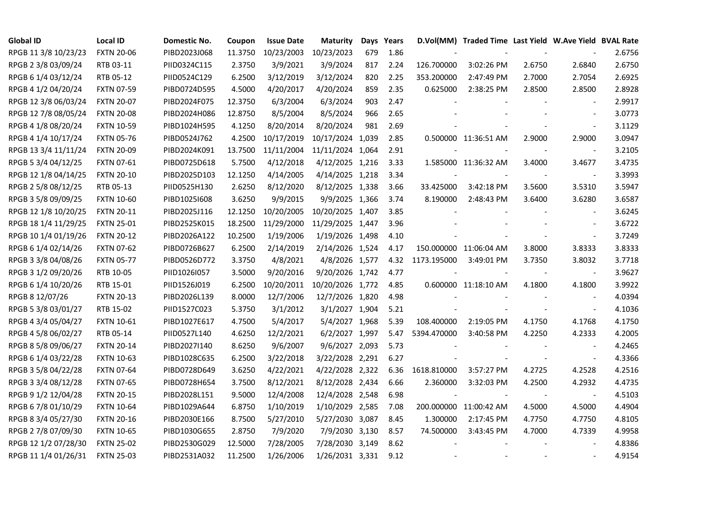| <b>Global ID</b>     | <b>Local ID</b>   | Domestic No. | Coupon  | <b>Issue Date</b> | <b>Maturity</b>  |     | Days Years |             | D.Vol(MM) Traded Time Last Yield W.Ave Yield BVAL Rate |        |                          |        |
|----------------------|-------------------|--------------|---------|-------------------|------------------|-----|------------|-------------|--------------------------------------------------------|--------|--------------------------|--------|
| RPGB 11 3/8 10/23/23 | <b>FXTN 20-06</b> | PIBD2023J068 | 11.3750 | 10/23/2003        | 10/23/2023       | 679 | 1.86       |             |                                                        |        |                          | 2.6756 |
| RPGB 2 3/8 03/09/24  | RTB 03-11         | PIID0324C115 | 2.3750  | 3/9/2021          | 3/9/2024         | 817 | 2.24       | 126.700000  | 3:02:26 PM                                             | 2.6750 | 2.6840                   | 2.6750 |
| RPGB 6 1/4 03/12/24  | RTB 05-12         | PIID0524C129 | 6.2500  | 3/12/2019         | 3/12/2024        | 820 | 2.25       | 353.200000  | 2:47:49 PM                                             | 2.7000 | 2.7054                   | 2.6925 |
| RPGB 4 1/2 04/20/24  | <b>FXTN 07-59</b> | PIBD0724D595 | 4.5000  | 4/20/2017         | 4/20/2024        | 859 | 2.35       | 0.625000    | 2:38:25 PM                                             | 2.8500 | 2.8500                   | 2.8928 |
| RPGB 12 3/8 06/03/24 | <b>FXTN 20-07</b> | PIBD2024F075 | 12.3750 | 6/3/2004          | 6/3/2024         | 903 | 2.47       |             |                                                        |        | $\blacksquare$           | 2.9917 |
| RPGB 12 7/8 08/05/24 | <b>FXTN 20-08</b> | PIBD2024H086 | 12.8750 | 8/5/2004          | 8/5/2024         | 966 | 2.65       |             |                                                        |        | $\blacksquare$           | 3.0773 |
| RPGB 4 1/8 08/20/24  | <b>FXTN 10-59</b> | PIBD1024H595 | 4.1250  | 8/20/2014         | 8/20/2024        | 981 | 2.69       |             |                                                        |        | $\blacksquare$           | 3.1129 |
| RPGB 4 1/4 10/17/24  | <b>FXTN 05-76</b> | PIBD0524J762 | 4.2500  | 10/17/2019        | 10/17/2024 1,039 |     | 2.85       |             | 0.500000 11:36:51 AM                                   | 2.9000 | 2.9000                   | 3.0947 |
| RPGB 13 3/4 11/11/24 | <b>FXTN 20-09</b> | PIBD2024K091 | 13.7500 | 11/11/2004        | 11/11/2024 1,064 |     | 2.91       |             |                                                        |        |                          | 3.2105 |
| RPGB 5 3/4 04/12/25  | <b>FXTN 07-61</b> | PIBD0725D618 | 5.7500  | 4/12/2018         | 4/12/2025 1,216  |     | 3.33       |             | 1.585000 11:36:32 AM                                   | 3.4000 | 3.4677                   | 3.4735 |
| RPGB 12 1/8 04/14/25 | <b>FXTN 20-10</b> | PIBD2025D103 | 12.1250 | 4/14/2005         | 4/14/2025 1,218  |     | 3.34       |             |                                                        |        | $\blacksquare$           | 3.3993 |
| RPGB 2 5/8 08/12/25  | RTB 05-13         | PIID0525H130 | 2.6250  | 8/12/2020         | 8/12/2025 1,338  |     | 3.66       | 33.425000   | 3:42:18 PM                                             | 3.5600 | 3.5310                   | 3.5947 |
| RPGB 3 5/8 09/09/25  | <b>FXTN 10-60</b> | PIBD10251608 | 3.6250  | 9/9/2015          | 9/9/2025 1,366   |     | 3.74       | 8.190000    | 2:48:43 PM                                             | 3.6400 | 3.6280                   | 3.6587 |
| RPGB 12 1/8 10/20/25 | <b>FXTN 20-11</b> | PIBD2025J116 | 12.1250 | 10/20/2005        | 10/20/2025 1,407 |     | 3.85       |             |                                                        |        | $\blacksquare$           | 3.6245 |
| RPGB 18 1/4 11/29/25 | <b>FXTN 25-01</b> | PIBD2525K015 | 18.2500 | 11/29/2000        | 11/29/2025 1,447 |     | 3.96       |             |                                                        |        | $\blacksquare$           | 3.6722 |
| RPGB 10 1/4 01/19/26 | <b>FXTN 20-12</b> | PIBD2026A122 | 10.2500 | 1/19/2006         | 1/19/2026 1,498  |     | 4.10       |             |                                                        |        | $\sim$                   | 3.7249 |
| RPGB 6 1/4 02/14/26  | <b>FXTN 07-62</b> | PIBD0726B627 | 6.2500  | 2/14/2019         | 2/14/2026 1,524  |     | 4.17       |             | 150.000000 11:06:04 AM                                 | 3.8000 | 3.8333                   | 3.8333 |
| RPGB 3 3/8 04/08/26  | <b>FXTN 05-77</b> | PIBD0526D772 | 3.3750  | 4/8/2021          | 4/8/2026 1,577   |     | 4.32       | 1173.195000 | 3:49:01 PM                                             | 3.7350 | 3.8032                   | 3.7718 |
| RPGB 3 1/2 09/20/26  | RTB 10-05         | PIID1026I057 | 3.5000  | 9/20/2016         | 9/20/2026 1,742  |     | 4.77       |             |                                                        |        | $\blacksquare$           | 3.9627 |
| RPGB 6 1/4 10/20/26  | RTB 15-01         | PIID1526J019 | 6.2500  | 10/20/2011        | 10/20/2026 1,772 |     | 4.85       |             | 0.600000 11:18:10 AM                                   | 4.1800 | 4.1800                   | 3.9922 |
| RPGB 8 12/07/26      | <b>FXTN 20-13</b> | PIBD2026L139 | 8.0000  | 12/7/2006         | 12/7/2026 1,820  |     | 4.98       |             |                                                        |        | $\sim$                   | 4.0394 |
| RPGB 5 3/8 03/01/27  | RTB 15-02         | PIID1527C023 | 5.3750  | 3/1/2012          | 3/1/2027 1,904   |     | 5.21       |             |                                                        |        | $\blacksquare$           | 4.1036 |
| RPGB 4 3/4 05/04/27  | <b>FXTN 10-61</b> | PIBD1027E617 | 4.7500  | 5/4/2017          | 5/4/2027 1,968   |     | 5.39       | 108.400000  | 2:19:05 PM                                             | 4.1750 | 4.1768                   | 4.1750 |
| RPGB 4 5/8 06/02/27  | RTB 05-14         | PIID0527L140 | 4.6250  | 12/2/2021         | 6/2/2027 1,997   |     | 5.47       | 5394.470000 | 3:40:58 PM                                             | 4.2250 | 4.2333                   | 4.2005 |
| RPGB 8 5/8 09/06/27  | <b>FXTN 20-14</b> | PIBD2027I140 | 8.6250  | 9/6/2007          | 9/6/2027 2,093   |     | 5.73       |             |                                                        |        | $\blacksquare$           | 4.2465 |
| RPGB 6 1/4 03/22/28  | <b>FXTN 10-63</b> | PIBD1028C635 | 6.2500  | 3/22/2018         | 3/22/2028 2,291  |     | 6.27       |             |                                                        |        | $\blacksquare$           | 4.3366 |
| RPGB 3 5/8 04/22/28  | <b>FXTN 07-64</b> | PIBD0728D649 | 3.6250  | 4/22/2021         | 4/22/2028 2,322  |     | 6.36       | 1618.810000 | 3:57:27 PM                                             | 4.2725 | 4.2528                   | 4.2516 |
| RPGB 3 3/4 08/12/28  | <b>FXTN 07-65</b> | PIBD0728H654 | 3.7500  | 8/12/2021         | 8/12/2028 2,434  |     | 6.66       | 2.360000    | 3:32:03 PM                                             | 4.2500 | 4.2932                   | 4.4735 |
| RPGB 9 1/2 12/04/28  | <b>FXTN 20-15</b> | PIBD2028L151 | 9.5000  | 12/4/2008         | 12/4/2028 2,548  |     | 6.98       |             |                                                        |        | $\overline{\phantom{a}}$ | 4.5103 |
| RPGB 67/8 01/10/29   | <b>FXTN 10-64</b> | PIBD1029A644 | 6.8750  | 1/10/2019         | 1/10/2029 2,585  |     | 7.08       |             | 200.000000 11:00:42 AM                                 | 4.5000 | 4.5000                   | 4.4904 |
| RPGB 8 3/4 05/27/30  | <b>FXTN 20-16</b> | PIBD2030E166 | 8.7500  | 5/27/2010         | 5/27/2030 3,087  |     | 8.45       | 1.300000    | 2:17:45 PM                                             | 4.7750 | 4.7750                   | 4.8105 |
| RPGB 2 7/8 07/09/30  | <b>FXTN 10-65</b> | PIBD1030G655 | 2.8750  | 7/9/2020          | 7/9/2030 3,130   |     | 8.57       | 74.500000   | 3:43:45 PM                                             | 4.7000 | 4.7339                   | 4.9958 |
| RPGB 12 1/2 07/28/30 | <b>FXTN 25-02</b> | PIBD2530G029 | 12.5000 | 7/28/2005         | 7/28/2030 3,149  |     | 8.62       |             |                                                        |        |                          | 4.8386 |
| RPGB 11 1/4 01/26/31 | <b>FXTN 25-03</b> | PIBD2531A032 | 11.2500 | 1/26/2006         | 1/26/2031 3,331  |     | 9.12       |             |                                                        |        | $\mathbf{r}$             | 4.9154 |